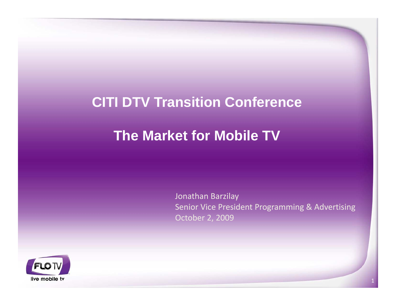## **CITI DTV Transition Conference**

# **The Market for Mobile TV**

Jonathan Barzilay Senior Vice President Programming & Advertising October 2, 2009

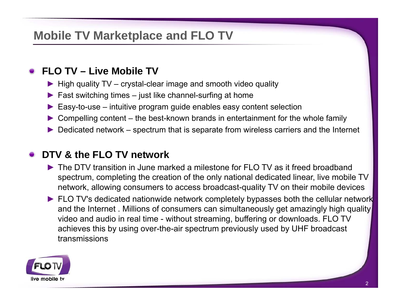## **Mobile TV Marketplace and FLO TV**

## **FLO TV – Live Mobile TV**

- ► High quality TV crystal-clear image and smooth video quality
- $\blacktriangleright$  Fast switching times just like channel-surfing at home
- ► Easy-to-use intuitive program guide enables easy content selection
- ► Compelling content the best-known brands in entertainment for the whole family
- $\triangleright$  Dedicated network spectrum that is separate from wireless carriers and the Internet

### **DTV & the FLO TV network**

- ► The DTV transition in June marked a milestone for FLO TV as it freed broadband spectrum, completing the creation of the only national dedicated linear, live mobile TV network, allowing consumers to access broadcast-quality TV on their mobile devices
- ► FLO TV's dedicated nationwide network completely bypasses both the cellular network and the Internet . Millions of consumers can simultaneously get amazingly high quality video and audio in real time - without streaming, buffering or downloads. FLO TV achieves this by using over-the-air spectrum previously used by UHF broadcast transmissions

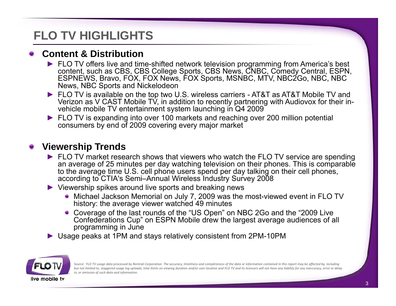## **FLO TV HIGHLIGHTS**

#### **Content & Distribution**

- ► FLO TV offers live and time-shifted network television programming from America's best content, such as CBS, CBS College Sports, CBS News, CNBC, Comedy Central, ESPN, ESPNEWS, Bravo, FOX, FOX News, FOX Sports, MSNBC, MTV, NBC2Go, NBC, NBC News, NBC Sports and Nickelodeon
- ► FLO TV is available on the top two U.S. wireless carriers AT&T as AT&T Mobile TV and Verizon as V CAST Mobile TV, in addition to recently partnering with Audiovox for their invehicle mobile TV entertainment system launching in Q4 2009
- ► FLO TV is expanding into over 100 markets and reaching over 200 million potential consumers by end of 2009 covering every major market

#### **Viewership Trends**

- ► FLO TV market research shows that viewers who watch the FLO TV service are spending an average of 25 minutes per day watching television on their phones. This is comparable to the average time U.S. cell phone users spend per day talking on their cell phones, according to CTIA's Semi–Annual Wireless Industry Survey 2008
- ► Viewership spikes around live sports and breaking news
	- Michael Jackson Memorial on July 7, 2009 was the most-viewed event in FLO TV history: the average viewer watched 49 minutes
	- Coverage of the last rounds of the "US Open" on NBC 2Go and the "2009 Live Confederations Cup" on ESPN Mobile drew the largest average audiences of all programming in June
- ► Usage peaks at 1PM and stays relatively consistent from 2PM-10PM



Source: FLO TV usage data processed by Rentrak Corporation. The accuracy, timeliness and completeness of the data or information contained in this report may be affected by, including but not limited to, staggered usage log uploads, time limits on viewing duration and/or user location and FLO TV and its licensors will not have any liability for any inaccuracy, error or delay *in, or omission of such data and information.*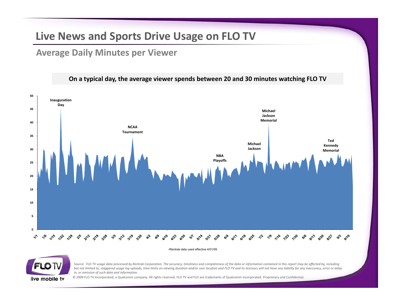### **Live News and Sports Drive Usage on FLO TV**

#### **Average Daily Minutes per Viewer g yp**



Source: FLO TV usage data processed by Rentrak Corporation. The accuracy, timeliness and completeness of the data or information contained in this report may be affected by, including but not limited to, staggered usage log uploads, time limits on viewing duration and/or user location and FLO TV and its licensors will not have any liability for any inaccuracy, error or delay *in, or omission of such data and information.*



© 2009 FLO TV Incorporated, <sup>a</sup> Qualcomm company. All rights reserved. FLO TV and FLO are trademarks of Qualcomm Incorporated. Proprietary and Confidential.